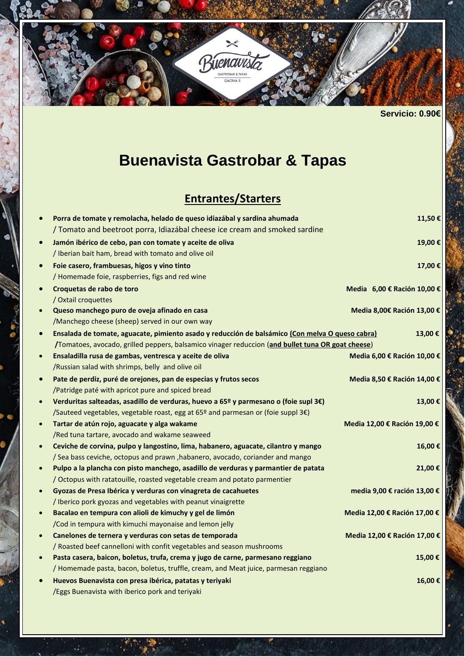

**Servicio: 0.90€** 

# **Buenavista Gastrobar & Tapas**

## **Entrantes/Starters**

|           | Porra de tomate y remolacha, helado de queso idiazábal y sardina ahumada                          | 11,50€                       |
|-----------|---------------------------------------------------------------------------------------------------|------------------------------|
|           | / Tomato and beetroot porra, Idiazábal cheese ice cream and smoked sardine                        |                              |
| $\bullet$ | Jamón ibérico de cebo, pan con tomate y aceite de oliva                                           | 19,00€                       |
|           | / Iberian bait ham, bread with tomato and olive oil                                               |                              |
| $\bullet$ | Foie casero, frambuesas, higos y vino tinto                                                       | 17,00€                       |
|           | / Homemade foie, raspberries, figs and red wine                                                   |                              |
|           | Croquetas de rabo de toro                                                                         | Media 6,00 € Ración 10,00 €  |
|           | / Oxtail croquettes                                                                               |                              |
| $\bullet$ | Queso manchego puro de oveja afinado en casa                                                      | Media 8,00€ Ración 13,00 €   |
|           | /Manchego cheese (sheep) served in our own way                                                    |                              |
| $\bullet$ | Ensalada de tomate, aguacate, pimiento asado y reducción de balsámico (Con melva O queso cabra)   | 13,00€                       |
|           | /Tomatoes, avocado, grilled peppers, balsamico vinager reduccion (and bullet tuna OR goat cheese) |                              |
| $\bullet$ | Ensaladilla rusa de gambas, ventresca y aceite de oliva                                           | Media 6,00 € Ración 10,00 €  |
|           | /Russian salad with shrimps, belly and olive oil                                                  |                              |
| $\bullet$ | Pate de perdiz, puré de orejones, pan de especias y frutos secos                                  | Media 8,50 € Ración 14,00 €  |
|           | /Patridge paté with apricot pure and spiced bread                                                 |                              |
| $\bullet$ | Verduritas salteadas, asadillo de verduras, huevo a 65º y parmesano o (foie supl 3€)              | 13,00€                       |
|           | /Sauteed vegetables, vegetable roast, egg at 65º and parmesan or (foie suppl 3€)                  |                              |
| $\bullet$ | Tartar de atún rojo, aguacate y alga wakame                                                       | Media 12,00 € Ración 19,00 € |
|           | /Red tuna tartare, avocado and wakame seaweed                                                     |                              |
| $\bullet$ | Ceviche de corvina, pulpo y langostino, lima, habanero, aguacate, cilantro y mango                | 16,00€                       |
|           | / Sea bass ceviche, octopus and prawn, habanero, avocado, coriander and mango                     |                              |
|           | Pulpo a la plancha con pisto manchego, asadillo de verduras y parmantier de patata                | 21,00€                       |
|           | / Octopus with ratatouille, roasted vegetable cream and potato parmentier                         |                              |
| $\bullet$ | Gyozas de Presa Ibérica y verduras con vinagreta de cacahuetes                                    | media 9,00 € ración 13,00 €  |
|           | / Iberico pork gyozas and vegetables with peanut vinaigrette                                      |                              |
| $\bullet$ | Bacalao en tempura con alioli de kimuchy y gel de limón                                           | Media 12,00 € Ración 17,00 € |
|           | /Cod in tempura with kimuchi mayonaise and lemon jelly                                            |                              |
| $\bullet$ | Canelones de ternera y verduras con setas de temporada                                            | Media 12,00 € Ración 17,00 € |
|           | / Roasted beef cannelloni with confit vegetables and season mushrooms                             |                              |
| $\bullet$ | Pasta casera, baicon, boletus, trufa, crema y jugo de carne, parmesano reggiano                   | 15,00€                       |
|           | / Homemade pasta, bacon, boletus, truffle, cream, and Meat juice, parmesan reggiano               |                              |
| $\bullet$ | Huevos Buenavista con presa ibérica, patatas y teriyaki                                           | 16,00€                       |
|           | /Eggs Buenavista with iberico pork and teriyaki                                                   |                              |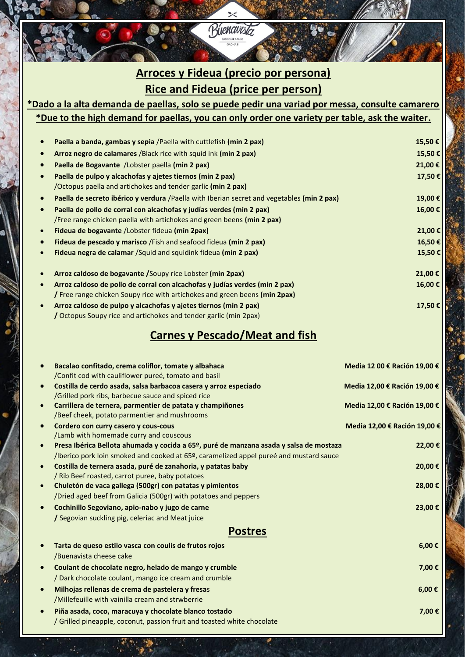### **Arroces y Fideua (precio por persona) Rice and Fideua (price per person)**

 $\times$ Buenavista

#### **\*Dado a la alta demanda de paellas, solo se puede pedir una variad por messa, consulte camarero \*Due to the high demand for paellas, you can only order one variety per table, ask the waiter.**

| Paella a banda, gambas y sepia /Paella with cuttlefish (min 2 pax)                         | 15,50€  |
|--------------------------------------------------------------------------------------------|---------|
| Arroz negro de calamares /Black rice with squid ink (min 2 pax)                            | 15,50€  |
| Paella de Bogavante / Lobster paella (min 2 pax)                                           | 21,00 € |
| Paella de pulpo y alcachofas y ajetes tiernos (min 2 pax)                                  | 17,50€  |
| /Octopus paella and artichokes and tender garlic (min 2 pax)                               |         |
| Paella de secreto ibérico y verdura /Paella with Iberian secret and vegetables (min 2 pax) | 19,00€  |
| Paella de pollo de corral con alcachofas y judías verdes (min 2 pax)                       | 16,00€  |
| /Free range chicken paella with artichokes and green beens (min 2 pax)                     |         |
| <b>Fideua de bogavante</b> / Lobster fideua (min 2pax)                                     | 21,00 € |
| <b>Fideua de pescado y marisco</b> / Fish and seafood fideua (min 2 pax)                   | 16,50€  |
| Fideua negra de calamar / Squid and squidink fideua (min 2 pax)                            | 15,50€  |
| Arroz caldoso de bogavante / Soupy rice Lobster (min 2pax)                                 | 21,00 € |
| Arroz caldoso de pollo de corral con alcachofas y judías verdes (min 2 pax)                | 16,00€  |
| / Free range chicken Soupy rice with artichokes and green beens (min 2pax)                 |         |
| Arroz caldoso de pulpo y alcachofas y ajetes tiernos (min 2 pax)                           | 17,50€  |
| / Octopus Soupy rice and artichokes and tender garlic (min 2pax)                           |         |

#### **Carnes y Pescado/Meat and fish**

|           | Bacalao confitado, crema coliflor, tomate y albahaca<br>/Confit cod with cauliflower pureé, tomato and basil                                                                     | Media 12 00 € Ración 19,00 € |
|-----------|----------------------------------------------------------------------------------------------------------------------------------------------------------------------------------|------------------------------|
| $\bullet$ | Costilla de cerdo asada, salsa barbacoa casera y arroz especiado<br>/Grilled pork ribs, barbecue sauce and spiced rice                                                           | Media 12,00 € Ración 19,00 € |
| $\bullet$ | Carrillera de ternera, parmentier de patata y champiñones<br>/Beef cheek, potato parmentier and mushrooms                                                                        | Media 12,00 € Ración 19,00 € |
|           | Cordero con curry casero y cous-cous<br>/Lamb with homemade curry and couscous                                                                                                   | Media 12,00 € Ración 19,00 € |
| $\bullet$ | Presa Ibérica Bellota ahumada y cocida a 65º, puré de manzana asada y salsa de mostaza<br>/Iberico pork loin smoked and cooked at 65º, caramelized appel pureé and mustard sauce | 22,00€                       |
| $\bullet$ | Costilla de ternera asada, puré de zanahoria, y patatas baby<br>/ Rib Beef roasted, carrot puree, baby potatoes                                                                  | 20,00 €                      |
| $\bullet$ | Chuletón de vaca gallega (500gr) con patatas y pimientos<br>/Dried aged beef from Galicia (500gr) with potatoes and peppers                                                      | 28,00 €                      |
|           | Cochinillo Segoviano, apio-nabo y jugo de carne<br>/ Segovian suckling pig, celeriac and Meat juice                                                                              | 23,00 €                      |
|           | <b>Postres</b>                                                                                                                                                                   |                              |
|           | Tarta de queso estilo vasca con coulis de frutos rojos<br>/Buenavista cheese cake                                                                                                | $6,00 \in$                   |
|           | Coulant de chocolate negro, helado de mango y crumble<br>Dark chocolate coulant, mango ice cream and crumble                                                                     | 7,00€                        |
| $\bullet$ | Milhojas rellenas de crema de pastelera y fresas<br>/Millefeuille with vainilla cream and strwberrie                                                                             | $6,00 \in$                   |
|           | Piña asada, coco, maracuya y chocolate blanco tostado<br>/ Grilled pineapple, coconut, passion fruit and toasted white chocolate                                                 | 7,00€                        |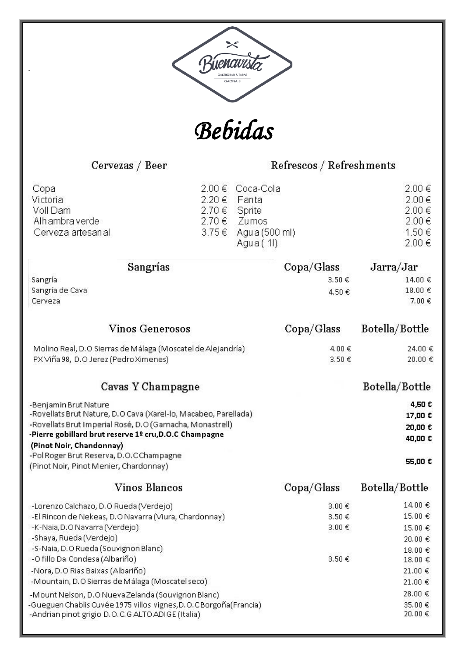



Cervezas / Beer

Refrescos / Refreshments

| Copa<br>Victoria<br>Voll Dam<br>Alh ambra verde<br>Cerveza artesan al                                               |                                                                 | 2.00 €<br>2.20 €<br>2.70€<br>2.70 €<br>3.75€ | Coca-Cola<br>Fanta<br>Sprite<br>Zumos<br>Agua (500 ml)<br>Agua (11) |                            | 2.00€<br>2.00€<br>2.00 €<br>2.00€<br>1.50€<br>2.00€ |
|---------------------------------------------------------------------------------------------------------------------|-----------------------------------------------------------------|----------------------------------------------|---------------------------------------------------------------------|----------------------------|-----------------------------------------------------|
|                                                                                                                     | Sangrías                                                        |                                              |                                                                     | $\text{Copa}/\text{Glass}$ | Jarra/Jar                                           |
| Sangría                                                                                                             |                                                                 |                                              |                                                                     | 3.50€                      | 14.00 €                                             |
| Sangría de Cava<br>Cerveza                                                                                          |                                                                 |                                              |                                                                     | 4.50€                      | 18.00€<br>7.00€                                     |
|                                                                                                                     | <b>Vinos Generosos</b>                                          |                                              |                                                                     | $\text{Copa}/\text{Glass}$ | Botella/Bottle                                      |
|                                                                                                                     | Molino Real, D.O Sierras de Málaga (Moscatel de Alejandría)     |                                              |                                                                     | 4.00€                      | 24.00 €                                             |
| PX Viña 98, D.O Jerez (Pedro Ximenes)                                                                               |                                                                 |                                              |                                                                     | 3.50€                      | 20.00 €                                             |
|                                                                                                                     | Cavas Y Champagne                                               |                                              |                                                                     |                            | Botella/Bottle                                      |
| -Benjamin Brut Nature                                                                                               |                                                                 |                                              |                                                                     |                            | 4,50€                                               |
|                                                                                                                     | -Rovellats Brut Nature, D.O Cava (Xarel-lo, Macabeo, Parellada) |                                              |                                                                     |                            | 17,00 €                                             |
| -Rovellats Brut Imperial Rosé, D.O (Garnacha, Monastrell)<br>-Pierre gobillard brut reserve 1º cru, D.O.C Champagne |                                                                 |                                              |                                                                     | 20,00 €                    |                                                     |
| (Pinot Noir, Chandonnay)                                                                                            |                                                                 |                                              |                                                                     |                            | 40,00 €                                             |
| -Pol Roger Brut Reserva, D.O.CChampagne                                                                             |                                                                 |                                              |                                                                     |                            |                                                     |
| (Pinot Noir, Pinot Menier, Chardonnay)                                                                              |                                                                 |                                              |                                                                     |                            | 55,00 €                                             |
|                                                                                                                     | <b>Vinos Blancos</b>                                            |                                              |                                                                     | Copa/Glass                 | Botella/Bottle                                      |
| -Lorenzo Calchazo, D.O Rueda (Verdejo)                                                                              |                                                                 |                                              |                                                                     | 3.00€                      | 14.00€                                              |
|                                                                                                                     | -El Rincon de Nekeas, D.O Navarra (Viura, Chardonnay)           |                                              |                                                                     | 3.50€                      | 15.00 €                                             |
| -K-Naia, D. O Navarra (Verdejo)                                                                                     |                                                                 |                                              |                                                                     | 3.00€                      | 15.00 €                                             |
| -Shaya, Rueda (Verdejo)                                                                                             |                                                                 |                                              |                                                                     |                            | 20.00€                                              |
| -S-Naia, D.O Rueda (Souvignon Blanc)<br>-O fillo Da Condesa (Albariño)                                              |                                                                 |                                              |                                                                     | 3.50€                      | 18.00€<br>18.00€                                    |
| -Nora, D.O Rias Baixas (Albariño)                                                                                   |                                                                 |                                              |                                                                     |                            | 21.00 €                                             |
|                                                                                                                     | -Mountain, D.O Sierras de Málaga (Moscatel seco)                |                                              |                                                                     |                            | 21.00€                                              |
|                                                                                                                     | -Mount Nelson, D.O Nueva Zelanda (Souvignon Blanc)              |                                              |                                                                     |                            | 28.00 €                                             |
| -Gueguen Chablis Cuvée 1975 villos vignes, D.O.C Borgoña (Francia)                                                  |                                                                 |                                              |                                                                     |                            | 35.00€                                              |
| -Andrian pinot grigio D.O.C.G ALTO ADIGE (Italia)                                                                   |                                                                 |                                              |                                                                     |                            | 20.00€                                              |